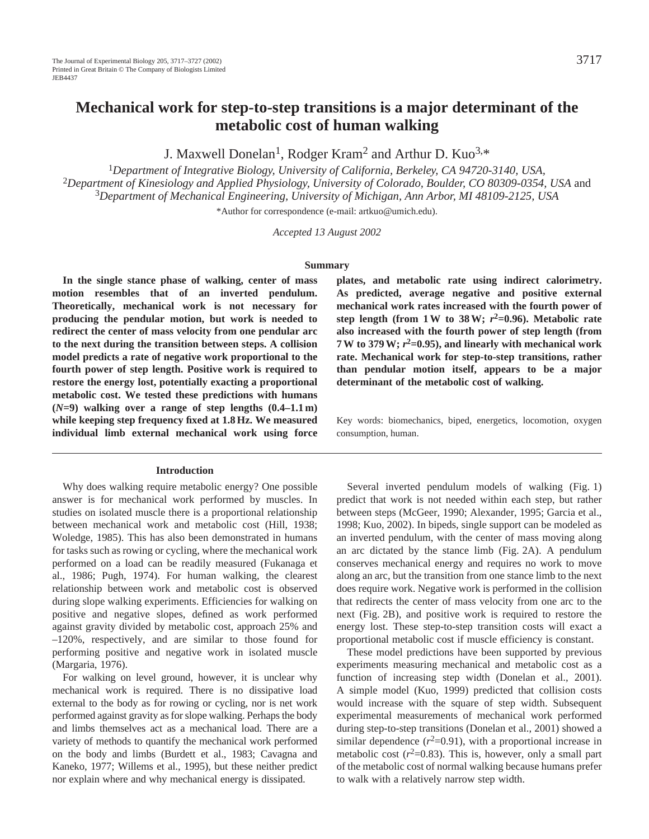# **Mechanical work for step-to-step transitions is a major determinant of the metabolic cost of human walking**

J. Maxwell Donelan<sup>1</sup>, Rodger Kram<sup>2</sup> and Arthur D. Kuo<sup>3,\*</sup>

<sup>1</sup>*Department of Integrative Biology, University of California, Berkeley, CA 94720-3140, USA,* <sup>2</sup>*Department of Kinesiology and Applied Physiology, University of Colorado, Boulder, CO 80309-0354, USA* and <sup>3</sup>*Department of Mechanical Engineering, University of Michigan, Ann Arbor, MI 48109-2125, USA*

\*Author for correspondence (e-mail: artkuo@umich.edu).

*Accepted 13 August 2002* 

#### **Summary**

**In the single stance phase of walking, center of mass motion resembles that of an inverted pendulum. Theoretically, mechanical work is not necessary for producing the pendular motion, but work is needed to redirect the center of mass velocity from one pendular arc to the next during the transition between steps. A collision model predicts a rate of negative work proportional to the fourth power of step length. Positive work is required to restore the energy lost, potentially exacting a proportional metabolic cost. We tested these predictions with humans (***N***=9) walking over a range of step lengths (0.4–1.1 m) while keeping step frequency fixed at 1.8 Hz. We measured individual limb external mechanical work using force**

## **Introduction**

Why does walking require metabolic energy? One possible answer is for mechanical work performed by muscles. In studies on isolated muscle there is a proportional relationship between mechanical work and metabolic cost (Hill, 1938; Woledge, 1985). This has also been demonstrated in humans for tasks such as rowing or cycling, where the mechanical work performed on a load can be readily measured (Fukanaga et al., 1986; Pugh, 1974). For human walking, the clearest relationship between work and metabolic cost is observed during slope walking experiments. Efficiencies for walking on positive and negative slopes, defined as work performed against gravity divided by metabolic cost, approach 25% and –120%, respectively, and are similar to those found for performing positive and negative work in isolated muscle (Margaria, 1976).

For walking on level ground, however, it is unclear why mechanical work is required. There is no dissipative load external to the body as for rowing or cycling, nor is net work performed against gravity as for slope walking. Perhaps the body and limbs themselves act as a mechanical load. There are a variety of methods to quantify the mechanical work performed on the body and limbs (Burdett et al., 1983; Cavagna and Kaneko, 1977; Willems et al., 1995), but these neither predict nor explain where and why mechanical energy is dissipated.

**plates, and metabolic rate using indirect calorimetry. As predicted, average negative and positive external mechanical work rates increased with the fourth power of step length (from 1 W to 38 W;** *r***2=0.96). Metabolic rate also increased with the fourth power of step length (from 7 W to 379 W;** *r***2=0.95), and linearly with mechanical work rate. Mechanical work for step-to-step transitions, rather than pendular motion itself, appears to be a major determinant of the metabolic cost of walking.** 

Key words: biomechanics, biped, energetics, locomotion, oxygen consumption, human.

Several inverted pendulum models of walking (Fig. 1) predict that work is not needed within each step, but rather between steps (McGeer, 1990; Alexander, 1995; Garcia et al., 1998; Kuo, 2002). In bipeds, single support can be modeled as an inverted pendulum, with the center of mass moving along an arc dictated by the stance limb (Fig. 2A). A pendulum conserves mechanical energy and requires no work to move along an arc, but the transition from one stance limb to the next does require work. Negative work is performed in the collision that redirects the center of mass velocity from one arc to the next (Fig. 2B), and positive work is required to restore the energy lost. These step-to-step transition costs will exact a proportional metabolic cost if muscle efficiency is constant.

These model predictions have been supported by previous experiments measuring mechanical and metabolic cost as a function of increasing step width (Donelan et al., 2001). A simple model (Kuo, 1999) predicted that collision costs would increase with the square of step width. Subsequent experimental measurements of mechanical work performed during step-to-step transitions (Donelan et al., 2001) showed a similar dependence  $(r^2=0.91)$ , with a proportional increase in metabolic cost  $(r^2=0.83)$ . This is, however, only a small part of the metabolic cost of normal walking because humans prefer to walk with a relatively narrow step width.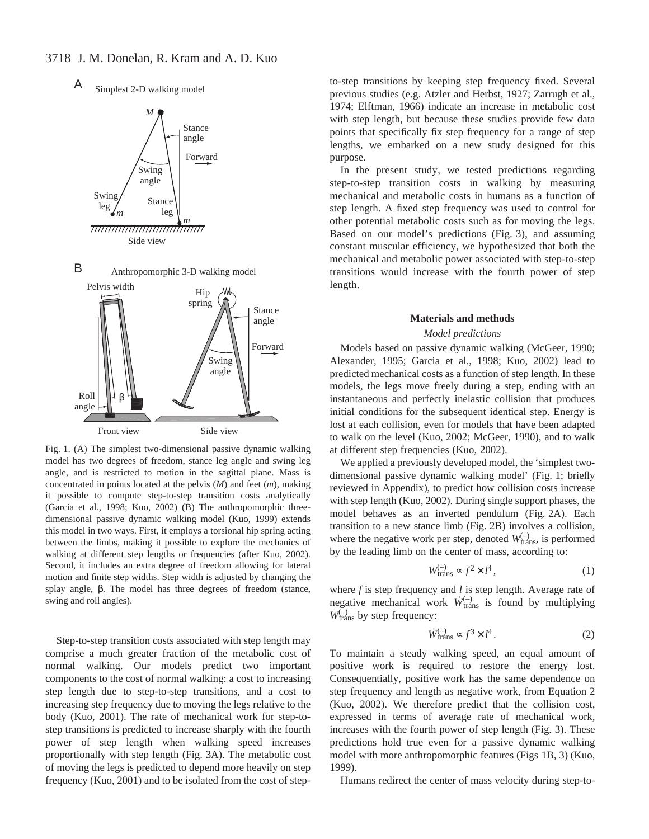Simplest 2-D walking model A



Fig. 1. (A) The simplest two-dimensional passive dynamic walking model has two degrees of freedom, stance leg angle and swing leg angle, and is restricted to motion in the sagittal plane. Mass is concentrated in points located at the pelvis (*M*) and feet (*m*), making it possible to compute step-to-step transition costs analytically (Garcia et al., 1998; Kuo, 2002) (B) The anthropomorphic threedimensional passive dynamic walking model (Kuo, 1999) extends this model in two ways. First, it employs a torsional hip spring acting between the limbs, making it possible to explore the mechanics of walking at different step lengths or frequencies (after Kuo, 2002). Second, it includes an extra degree of freedom allowing for lateral motion and finite step widths. Step width is adjusted by changing the splay angle, β. The model has three degrees of freedom (stance, swing and roll angles).

Step-to-step transition costs associated with step length may comprise a much greater fraction of the metabolic cost of normal walking. Our models predict two important components to the cost of normal walking: a cost to increasing step length due to step-to-step transitions, and a cost to increasing step frequency due to moving the legs relative to the body (Kuo, 2001). The rate of mechanical work for step-tostep transitions is predicted to increase sharply with the fourth power of step length when walking speed increases proportionally with step length (Fig. 3A). The metabolic cost of moving the legs is predicted to depend more heavily on step frequency (Kuo, 2001) and to be isolated from the cost of stepto-step transitions by keeping step frequency fixed. Several previous studies (e.g. Atzler and Herbst, 1927; Zarrugh et al., 1974; Elftman, 1966) indicate an increase in metabolic cost with step length, but because these studies provide few data points that specifically fix step frequency for a range of step lengths, we embarked on a new study designed for this purpose.

In the present study, we tested predictions regarding step-to-step transition costs in walking by measuring mechanical and metabolic costs in humans as a function of step length. A fixed step frequency was used to control for other potential metabolic costs such as for moving the legs. Based on our model's predictions (Fig. 3), and assuming constant muscular efficiency, we hypothesized that both the mechanical and metabolic power associated with step-to-step transitions would increase with the fourth power of step length.

#### **Materials and methods**

## *Model predictions*

Models based on passive dynamic walking (McGeer, 1990; Alexander, 1995; Garcia et al., 1998; Kuo, 2002) lead to predicted mechanical costs as a function of step length. In these models, the legs move freely during a step, ending with an instantaneous and perfectly inelastic collision that produces initial conditions for the subsequent identical step. Energy is lost at each collision, even for models that have been adapted to walk on the level (Kuo, 2002; McGeer, 1990), and to walk at different step frequencies (Kuo, 2002).

We applied a previously developed model, the 'simplest twodimensional passive dynamic walking model' (Fig. 1; briefly reviewed in Appendix), to predict how collision costs increase with step length (Kuo, 2002). During single support phases, the model behaves as an inverted pendulum (Fig. 2A). Each transition to a new stance limb (Fig. 2B) involves a collision, where the negative work per step, denoted  $W_{trans}^{(-)}$ , is performed by the leading limb on the center of mass, according to:

$$
W_{\text{trans}}^{(-)} \propto f^2 \times l^4 \,, \tag{1}
$$

where *f* is step frequency and *l* is step length. Average rate of negative mechanical work  $\dot{W}_{trans}^{(-)}$  is found by multiplying  $W_{trans}^{(-)}$  by step frequency:

$$
\dot{W}_{\text{trans}}^{(-)} \propto f^3 \times l^4 \,. \tag{2}
$$

To maintain a steady walking speed, an equal amount of positive work is required to restore the energy lost. Consequentially, positive work has the same dependence on step frequency and length as negative work, from Equation 2 (Kuo, 2002). We therefore predict that the collision cost, expressed in terms of average rate of mechanical work, increases with the fourth power of step length (Fig. 3). These predictions hold true even for a passive dynamic walking model with more anthropomorphic features (Figs 1B, 3) (Kuo, 1999).

Humans redirect the center of mass velocity during step-to-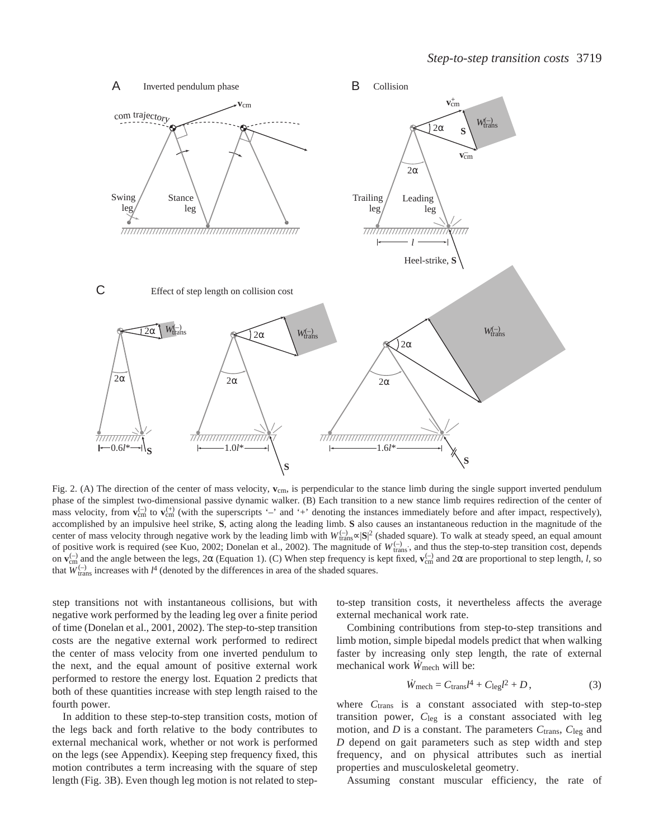

Fig. 2. (A) The direction of the center of mass velocity,  $\bf{v}_{cm}$ , is perpendicular to the stance limb during the single support inverted pendulum phase of the simplest two-dimensional passive dynamic walker. (B) Each transition to a new stance limb requires redirection of the center of mass velocity, from  $\mathbf{v}_{cm}^{(-)}$  to  $\mathbf{v}_{cm}^{(+)}$  (with the superscripts '-' and '+' denoting the instances immediately before and after impact, respectively), accomplished by an impulsive heel strike, **S**, acting along the leading limb. **S** also causes an instantaneous reduction in the magnitude of the center of mass velocity through negative work by the leading limb with  $W_{trans}^{(-)} \sim |\mathbf{S}|^2$  (shaded square). To walk at steady speed, an equal amount of positive work is required (see Kuo, 2002; Donelan et al., 2002). The magnitude of  $W_{trans}^{(-)}$ , and thus the step-to-step transition cost, depends on **v**<sub>cm</sub> and the angle between the legs, 2α (Equation 1). (C) When step frequency is kept fixed, **v**<sub>cm</sub> and 2α are proportional to step length, *l*, so that  $W_{trans}^{(-)}$  increases with  $l^4$  (denoted by the differences in area of the shaded squares.

step transitions not with instantaneous collisions, but with negative work performed by the leading leg over a finite period of time (Donelan et al., 2001, 2002). The step-to-step transition costs are the negative external work performed to redirect the center of mass velocity from one inverted pendulum to the next, and the equal amount of positive external work performed to restore the energy lost. Equation 2 predicts that both of these quantities increase with step length raised to the fourth power.

In addition to these step-to-step transition costs, motion of the legs back and forth relative to the body contributes to external mechanical work, whether or not work is performed on the legs (see Appendix). Keeping step frequency fixed, this motion contributes a term increasing with the square of step length (Fig. 3B). Even though leg motion is not related to stepto-step transition costs, it nevertheless affects the average external mechanical work rate.

Combining contributions from step-to-step transitions and limb motion, simple bipedal models predict that when walking faster by increasing only step length, the rate of external mechanical work  $\dot{W}_{\text{mech}}$  will be:

$$
\dot{W}_{\text{mech}} = C_{\text{trans}}l^4 + C_{\text{leg}}l^2 + D\,,\tag{3}
$$

where  $C<sub>trans</sub>$  is a constant associated with step-to-step transition power, *C*leg is a constant associated with leg motion, and *D* is a constant. The parameters *C*trans, *C*leg and *D* depend on gait parameters such as step width and step frequency, and on physical attributes such as inertial properties and musculoskeletal geometry.

Assuming constant muscular efficiency, the rate of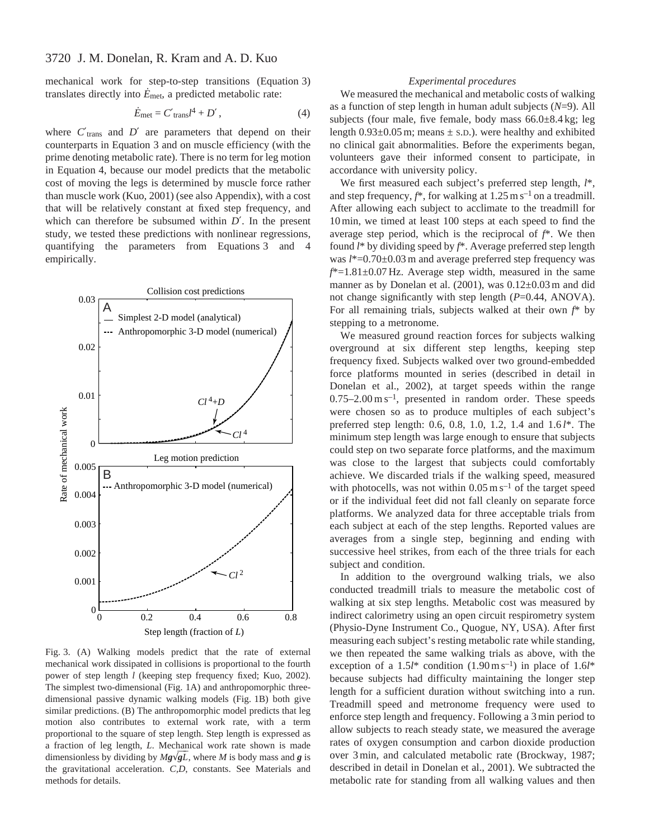mechanical work for step-to-step transitions (Equation 3) translates directly into  $\dot{E}_{\text{met}}$ , a predicted metabolic rate:

$$
\dot{E}_{\text{met}} = C'_{\text{trans}}l^4 + D',\tag{4}
$$

where  $C'_{trans}$  and  $D'$  are parameters that depend on their counterparts in Equation 3 and on muscle efficiency (with the prime denoting metabolic rate). There is no term for leg motion in Equation 4, because our model predicts that the metabolic cost of moving the legs is determined by muscle force rather than muscle work (Kuo, 2001) (see also Appendix), with a cost that will be relatively constant at fixed step frequency, and which can therefore be subsumed within *D*′. In the present study, we tested these predictions with nonlinear regressions, quantifying the parameters from Equations 3 and 4 empirically.



Fig. 3. (A) Walking models predict that the rate of external mechanical work dissipated in collisions is proportional to the fourth power of step length *l* (keeping step frequency fixed; Kuo, 2002). The simplest two-dimensional (Fig. 1A) and anthropomorphic threedimensional passive dynamic walking models (Fig. 1B) both give similar predictions. (B) The anthropomorphic model predicts that leg motion also contributes to external work rate, with a term proportional to the square of step length. Step length is expressed as a fraction of leg length, *L*. Mechanical work rate shown is made dimensionless by dividing by *Mg*√*gL* , where *M* is body mass and *g* is the gravitational acceleration. *C,D*, constants. See Materials and methods for details.

## *Experimental procedures*

We measured the mechanical and metabolic costs of walking as a function of step length in human adult subjects (*N*=9). All subjects (four male, five female, body mass 66.0±8.4 kg; leg length  $0.93\pm0.05$  m; means  $\pm$  s.D.). were healthy and exhibited no clinical gait abnormalities. Before the experiments began, volunteers gave their informed consent to participate, in accordance with university policy.

We first measured each subject's preferred step length, *l*\*, and step frequency,  $f^*$ , for walking at  $1.25 \text{ m s}^{-1}$  on a treadmill. After allowing each subject to acclimate to the treadmill for 10 min, we timed at least 100 steps at each speed to find the average step period, which is the reciprocal of *f*\*. We then found *l*\* by dividing speed by *f*\*. Average preferred step length was *l*\*=0.70±0.03 m and average preferred step frequency was *f*\*=1.81±0.07 Hz. Average step width, measured in the same manner as by Donelan et al. (2001), was 0.12±0.03 m and did not change significantly with step length (*P*=0.44, ANOVA). For all remaining trials, subjects walked at their own *f*\* by stepping to a metronome.

We measured ground reaction forces for subjects walking overground at six different step lengths, keeping step frequency fixed. Subjects walked over two ground-embedded force platforms mounted in series (described in detail in Donelan et al., 2002), at target speeds within the range  $0.75-2.00 \text{ m s}^{-1}$ , presented in random order. These speeds were chosen so as to produce multiples of each subject's preferred step length: 0.6, 0.8, 1.0, 1.2, 1.4 and 1.6 *l*\*. The minimum step length was large enough to ensure that subjects could step on two separate force platforms, and the maximum was close to the largest that subjects could comfortably achieve. We discarded trials if the walking speed, measured with photocells, was not within  $0.05 \text{ m s}^{-1}$  of the target speed or if the individual feet did not fall cleanly on separate force platforms. We analyzed data for three acceptable trials from each subject at each of the step lengths. Reported values are averages from a single step, beginning and ending with successive heel strikes, from each of the three trials for each subject and condition.

In addition to the overground walking trials, we also conducted treadmill trials to measure the metabolic cost of walking at six step lengths. Metabolic cost was measured by indirect calorimetry using an open circuit respirometry system (Physio-Dyne Instrument Co., Quogue, NY, USA). After first measuring each subject's resting metabolic rate while standing, we then repeated the same walking trials as above, with the exception of a  $1.5l^*$  condition  $(1.90 \text{ m s}^{-1})$  in place of  $1.6l^*$ because subjects had difficulty maintaining the longer step length for a sufficient duration without switching into a run. Treadmill speed and metronome frequency were used to enforce step length and frequency. Following a 3 min period to allow subjects to reach steady state, we measured the average rates of oxygen consumption and carbon dioxide production over 3 min, and calculated metabolic rate (Brockway, 1987; described in detail in Donelan et al., 2001). We subtracted the metabolic rate for standing from all walking values and then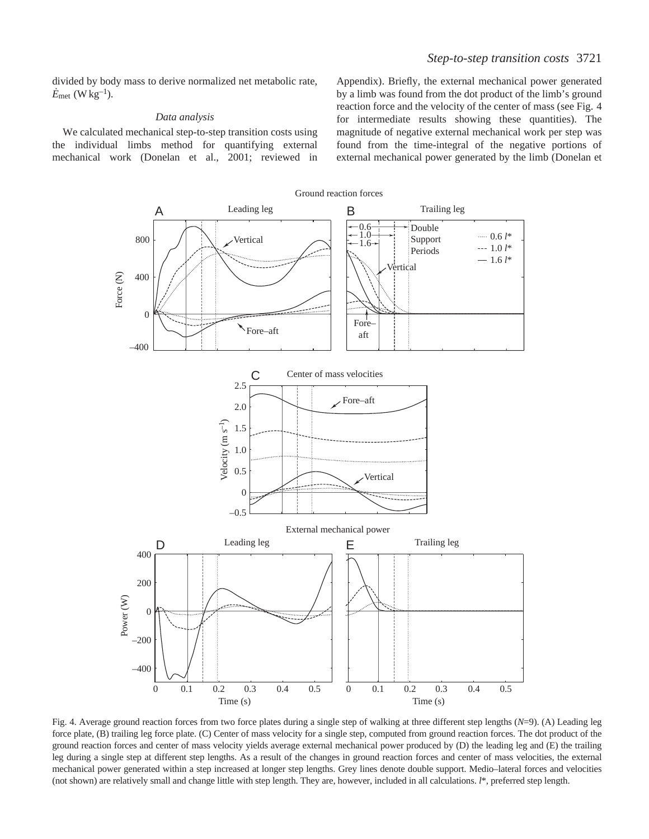divided by body mass to derive normalized net metabolic rate,  $\dot{E}_{\text{met}}$  (W kg<sup>-1</sup>).

## *Data analysis*

We calculated mechanical step-to-step transition costs using the individual limbs method for quantifying external mechanical work (Donelan et al., 2001; reviewed in

Appendix). Briefly, the external mechanical power generated by a limb was found from the dot product of the limb's ground reaction force and the velocity of the center of mass (see Fig. 4 for intermediate results showing these quantities). The magnitude of negative external mechanical work per step was found from the time-integral of the negative portions of external mechanical power generated by the limb (Donelan et



Fig. 4. Average ground reaction forces from two force plates during a single step of walking at three different step lengths (*N*=9). (A) Leading leg force plate, (B) trailing leg force plate. (C) Center of mass velocity for a single step, computed from ground reaction forces. The dot product of the ground reaction forces and center of mass velocity yields average external mechanical power produced by (D) the leading leg and (E) the trailing leg during a single step at different step lengths. As a result of the changes in ground reaction forces and center of mass velocities, the external mechanical power generated within a step increased at longer step lengths. Grey lines denote double support. Medio–lateral forces and velocities (not shown) are relatively small and change little with step length. They are, however, included in all calculations. *l*\*, preferred step length.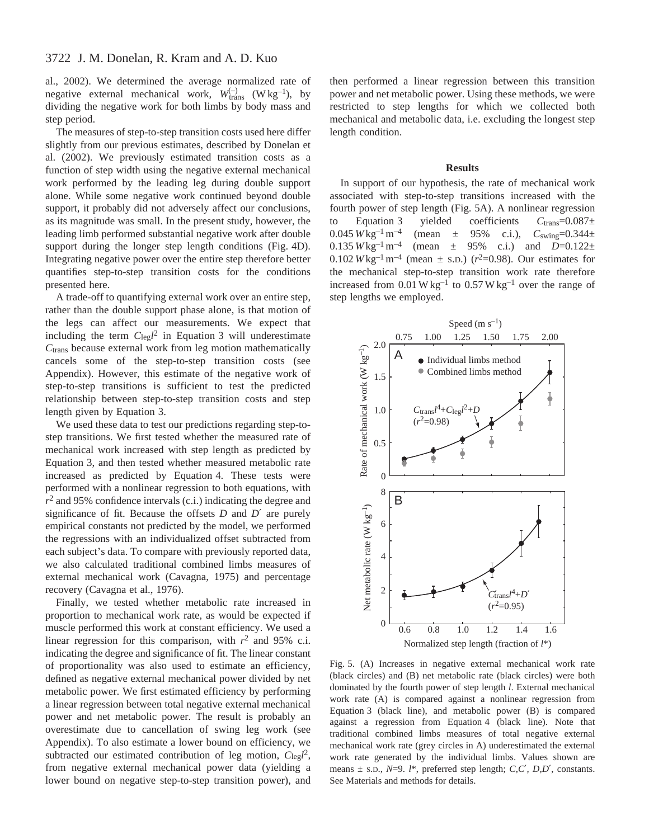al., 2002). We determined the average normalized rate of negative external mechanical work,  $W_{trans}^{(-)}$  (W kg<sup>-1</sup>), by dividing the negative work for both limbs by body mass and step period.

The measures of step-to-step transition costs used here differ slightly from our previous estimates, described by Donelan et al. (2002). We previously estimated transition costs as a function of step width using the negative external mechanical work performed by the leading leg during double support alone. While some negative work continued beyond double support, it probably did not adversely affect our conclusions, as its magnitude was small. In the present study, however, the leading limb performed substantial negative work after double support during the longer step length conditions (Fig. 4D). Integrating negative power over the entire step therefore better quantifies step-to-step transition costs for the conditions presented here.

A trade-off to quantifying external work over an entire step, rather than the double support phase alone, is that motion of the legs can affect our measurements. We expect that including the term  $C_{\text{leg}}l^2$  in Equation 3 will underestimate *C*trans because external work from leg motion mathematically cancels some of the step-to-step transition costs (see Appendix). However, this estimate of the negative work of step-to-step transitions is sufficient to test the predicted relationship between step-to-step transition costs and step length given by Equation 3.

We used these data to test our predictions regarding step-tostep transitions. We first tested whether the measured rate of mechanical work increased with step length as predicted by Equation 3, and then tested whether measured metabolic rate increased as predicted by Equation 4. These tests were performed with a nonlinear regression to both equations, with *r*<sup>2</sup> and 95% confidence intervals (c.i.) indicating the degree and significance of fit. Because the offsets *D* and *D*′ are purely empirical constants not predicted by the model, we performed the regressions with an individualized offset subtracted from each subject's data. To compare with previously reported data, we also calculated traditional combined limbs measures of external mechanical work (Cavagna, 1975) and percentage recovery (Cavagna et al., 1976).

Finally, we tested whether metabolic rate increased in proportion to mechanical work rate, as would be expected if muscle performed this work at constant efficiency. We used a linear regression for this comparison, with  $r^2$  and 95% c.i. indicating the degree and significance of fit. The linear constant of proportionality was also used to estimate an efficiency, defined as negative external mechanical power divided by net metabolic power. We first estimated efficiency by performing a linear regression between total negative external mechanical power and net metabolic power. The result is probably an overestimate due to cancellation of swing leg work (see Appendix). To also estimate a lower bound on efficiency, we subtracted our estimated contribution of leg motion, *C*leg*l* 2, from negative external mechanical power data (yielding a lower bound on negative step-to-step transition power), and

then performed a linear regression between this transition power and net metabolic power. Using these methods, we were restricted to step lengths for which we collected both mechanical and metabolic data, i.e. excluding the longest step length condition.

### **Results**

In support of our hypothesis, the rate of mechanical work associated with step-to-step transitions increased with the fourth power of step length (Fig. 5A). A nonlinear regression to Equation 3 yielded coefficients  $C_{trans} = 0.087 \pm 0.045 W \text{kg}^{-1} \text{m}^{-4}$  (mean  $\pm$  95% c.i.),  $C_{swing} = 0.344 \pm 0.045 W \text{kg}^{-1}$ 0.045  $W \text{kg}^{-1} \text{m}^{-4}$  (mean  $\pm$  95% c.i.),  $C_{\text{swing}} = 0.344 \pm$ <br>0.135  $W \text{kg}^{-1} \text{m}^{-4}$  (mean  $\pm$  95% c.i.) and  $D=0.122 \pm$ (mean  $\pm$  95% c.i.) and *D*=0.122 $\pm$ 0.102  $W \text{kg}^{-1} \text{m}^{-4}$  (mean  $\pm$  s.D.) ( $r^2$ =0.98). Our estimates for the mechanical step-to-step transition work rate therefore increased from  $0.01 \text{ W kg}^{-1}$  to  $0.57 \text{ W kg}^{-1}$  over the range of step lengths we employed.



Fig. 5. (A) Increases in negative external mechanical work rate (black circles) and (B) net metabolic rate (black circles) were both dominated by the fourth power of step length *l*. External mechanical work rate (A) is compared against a nonlinear regression from Equation 3 (black line), and metabolic power (B) is compared against a regression from Equation 4 (black line). Note that traditional combined limbs measures of total negative external mechanical work rate (grey circles in A) underestimated the external work rate generated by the individual limbs. Values shown are means ± S.D., *N*=9. *l*\*, preferred step length; *C,C*′*, D,D*′, constants. See Materials and methods for details.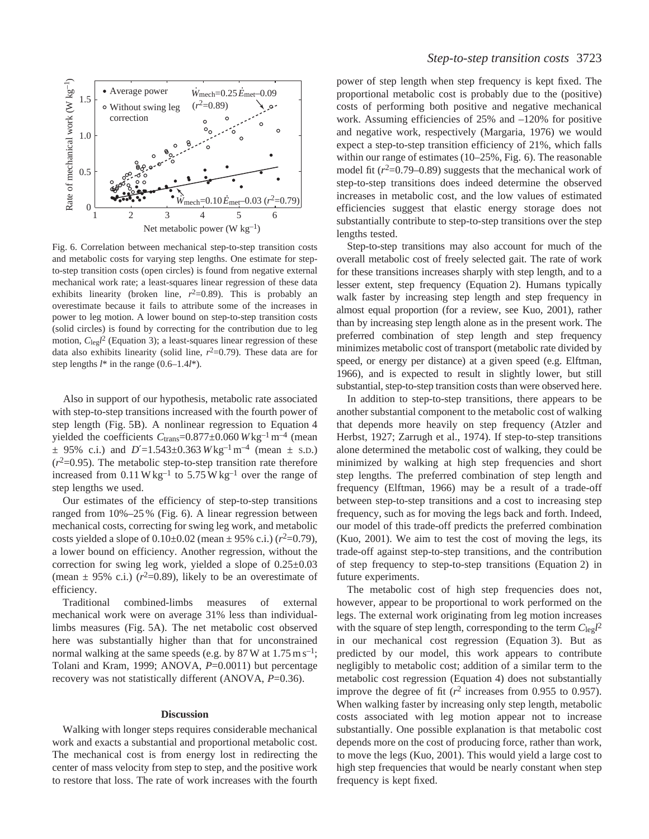

Fig. 6. Correlation between mechanical step-to-step transition costs and metabolic costs for varying step lengths. One estimate for stepto-step transition costs (open circles) is found from negative external mechanical work rate; a least-squares linear regression of these data exhibits linearity (broken line,  $r^2=0.89$ ). This is probably an overestimate because it fails to attribute some of the increases in power to leg motion. A lower bound on step-to-step transition costs (solid circles) is found by correcting for the contribution due to leg motion, C<sub>leg</sub><sup>2</sup> (Equation 3); a least-squares linear regression of these data also exhibits linearity (solid line,  $r^2=0.79$ ). These data are for step lengths *l*\* in the range (0.6–1.4*l*\*).

Also in support of our hypothesis, metabolic rate associated with step-to-step transitions increased with the fourth power of step length (Fig. 5B). A nonlinear regression to Equation 4 yielded the coefficients  $C_{trans}$ =0.877±0.060 *W* kg<sup>-1</sup> m<sup>-4</sup> (mean  $\pm$  95% c.i.) and *D'*=1.543 $\pm$ 0.363 *W* kg<sup>-1</sup> m<sup>-4</sup> (mean  $\pm$  s.D.)  $(r<sup>2</sup>=0.95)$ . The metabolic step-to-step transition rate therefore increased from  $0.11 \text{ W kg}^{-1}$  to  $5.75 \text{ W kg}^{-1}$  over the range of step lengths we used.

Our estimates of the efficiency of step-to-step transitions ranged from 10%–25 % (Fig. 6). A linear regression between mechanical costs, correcting for swing leg work, and metabolic costs yielded a slope of  $0.10 \pm 0.02$  (mean  $\pm 95\%$  c.i.) ( $r^2 = 0.79$ ), a lower bound on efficiency. Another regression, without the correction for swing leg work, yielded a slope of 0.25±0.03 (mean  $\pm$  95% c.i.) ( $r^2$ =0.89), likely to be an overestimate of efficiency.

Traditional combined-limbs measures of external mechanical work were on average 31% less than individuallimbs measures (Fig. 5A). The net metabolic cost observed here was substantially higher than that for unconstrained normal walking at the same speeds (e.g. by 87 W at  $1.75 \text{ m s}^{-1}$ ; Tolani and Kram, 1999; ANOVA, *P*=0.0011) but percentage recovery was not statistically different (ANOVA, *P*=0.36).

#### **Discussion**

Walking with longer steps requires considerable mechanical work and exacts a substantial and proportional metabolic cost. The mechanical cost is from energy lost in redirecting the center of mass velocity from step to step, and the positive work to restore that loss. The rate of work increases with the fourth power of step length when step frequency is kept fixed. The proportional metabolic cost is probably due to the (positive) costs of performing both positive and negative mechanical work. Assuming efficiencies of 25% and –120% for positive and negative work, respectively (Margaria, 1976) we would expect a step-to-step transition efficiency of 21%, which falls within our range of estimates (10–25%, Fig. 6). The reasonable model fit  $(r^2=0.79-0.89)$  suggests that the mechanical work of step-to-step transitions does indeed determine the observed increases in metabolic cost, and the low values of estimated efficiencies suggest that elastic energy storage does not substantially contribute to step-to-step transitions over the step lengths tested.

Step-to-step transitions may also account for much of the overall metabolic cost of freely selected gait. The rate of work for these transitions increases sharply with step length, and to a lesser extent, step frequency (Equation 2). Humans typically walk faster by increasing step length and step frequency in almost equal proportion (for a review, see Kuo, 2001), rather than by increasing step length alone as in the present work. The preferred combination of step length and step frequency minimizes metabolic cost of transport (metabolic rate divided by speed, or energy per distance) at a given speed (e.g. Elftman, 1966), and is expected to result in slightly lower, but still substantial, step-to-step transition costs than were observed here.

In addition to step-to-step transitions, there appears to be another substantial component to the metabolic cost of walking that depends more heavily on step frequency (Atzler and Herbst, 1927; Zarrugh et al., 1974). If step-to-step transitions alone determined the metabolic cost of walking, they could be minimized by walking at high step frequencies and short step lengths. The preferred combination of step length and frequency (Elftman, 1966) may be a result of a trade-off between step-to-step transitions and a cost to increasing step frequency, such as for moving the legs back and forth. Indeed, our model of this trade-off predicts the preferred combination (Kuo, 2001). We aim to test the cost of moving the legs, its trade-off against step-to-step transitions, and the contribution of step frequency to step-to-step transitions (Equation 2) in future experiments.

The metabolic cost of high step frequencies does not, however, appear to be proportional to work performed on the legs. The external work originating from leg motion increases with the square of step length, corresponding to the term  $C_{\text{leg}}l^2$ in our mechanical cost regression (Equation 3). But as predicted by our model, this work appears to contribute negligibly to metabolic cost; addition of a similar term to the metabolic cost regression (Equation 4) does not substantially improve the degree of fit  $(r^2$  increases from 0.955 to 0.957). When walking faster by increasing only step length, metabolic costs associated with leg motion appear not to increase substantially. One possible explanation is that metabolic cost depends more on the cost of producing force, rather than work, to move the legs (Kuo, 2001). This would yield a large cost to high step frequencies that would be nearly constant when step frequency is kept fixed.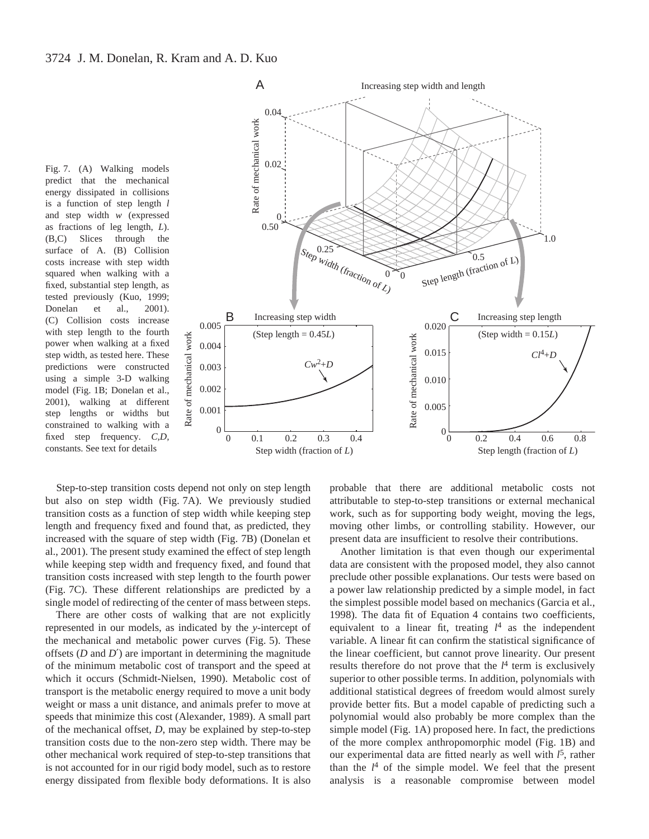Fig. 7. (A) Walking models predict that the mechanical energy dissipated in collisions is a function of step length *l* and step width *w* (expressed as fractions of leg length, *L*). (B,C) Slices through the surface of A. (B) Collision costs increase with step width squared when walking with a fixed, substantial step length, as tested previously (Kuo, 1999; Donelan et al., 2001). (C) Collision costs increase with step length to the fourth power when walking at a fixed step width, as tested here. These predictions were constructed using a simple 3-D walking model (Fig. 1B; Donelan et al., 2001), walking at different step lengths or widths but constrained to walking with a fixed step frequency. *C,D,* constants. See text for details



Step-to-step transition costs depend not only on step length but also on step width (Fig. 7A). We previously studied transition costs as a function of step width while keeping step length and frequency fixed and found that, as predicted, they increased with the square of step width (Fig. 7B) (Donelan et al., 2001). The present study examined the effect of step length while keeping step width and frequency fixed, and found that transition costs increased with step length to the fourth power (Fig. 7C). These different relationships are predicted by a single model of redirecting of the center of mass between steps.

mechanical work

There are other costs of walking that are not explicitly represented in our models, as indicated by the *y*-intercept of the mechanical and metabolic power curves (Fig. 5). These offsets (*D* and *D*′) are important in determining the magnitude of the minimum metabolic cost of transport and the speed at which it occurs (Schmidt-Nielsen, 1990). Metabolic cost of transport is the metabolic energy required to move a unit body weight or mass a unit distance, and animals prefer to move at speeds that minimize this cost (Alexander, 1989). A small part of the mechanical offset, *D*, may be explained by step-to-step transition costs due to the non-zero step width. There may be other mechanical work required of step-to-step transitions that is not accounted for in our rigid body model, such as to restore energy dissipated from flexible body deformations. It is also probable that there are additional metabolic costs not attributable to step-to-step transitions or external mechanical work, such as for supporting body weight, moving the legs, moving other limbs, or controlling stability. However, our present data are insufficient to resolve their contributions.

Another limitation is that even though our experimental data are consistent with the proposed model, they also cannot preclude other possible explanations. Our tests were based on a power law relationship predicted by a simple model, in fact the simplest possible model based on mechanics (Garcia et al., 1998). The data fit of Equation 4 contains two coefficients, equivalent to a linear fit, treating *l* <sup>4</sup> as the independent variable. A linear fit can confirm the statistical significance of the linear coefficient, but cannot prove linearity. Our present results therefore do not prove that the  $l^4$  term is exclusively superior to other possible terms. In addition, polynomials with additional statistical degrees of freedom would almost surely provide better fits. But a model capable of predicting such a polynomial would also probably be more complex than the simple model (Fig. 1A) proposed here. In fact, the predictions of the more complex anthropomorphic model (Fig. 1B) and our experimental data are fitted nearly as well with *l* 5, rather than the  $l^4$  of the simple model. We feel that the present analysis is a reasonable compromise between model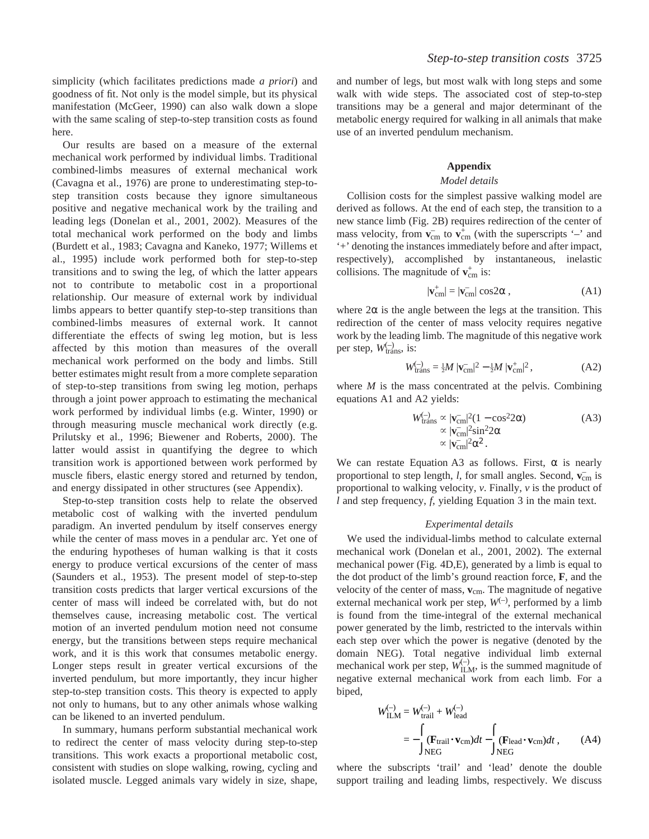simplicity (which facilitates predictions made *a priori*) and goodness of fit. Not only is the model simple, but its physical manifestation (McGeer, 1990) can also walk down a slope with the same scaling of step-to-step transition costs as found here.

Our results are based on a measure of the external mechanical work performed by individual limbs. Traditional combined-limbs measures of external mechanical work (Cavagna et al., 1976) are prone to underestimating step-tostep transition costs because they ignore simultaneous positive and negative mechanical work by the trailing and leading legs (Donelan et al., 2001, 2002). Measures of the total mechanical work performed on the body and limbs (Burdett et al., 1983; Cavagna and Kaneko, 1977; Willems et al., 1995) include work performed both for step-to-step transitions and to swing the leg, of which the latter appears not to contribute to metabolic cost in a proportional relationship. Our measure of external work by individual limbs appears to better quantify step-to-step transitions than combined-limbs measures of external work. It cannot differentiate the effects of swing leg motion, but is less affected by this motion than measures of the overall mechanical work performed on the body and limbs. Still better estimates might result from a more complete separation of step-to-step transitions from swing leg motion, perhaps through a joint power approach to estimating the mechanical work performed by individual limbs (e.g. Winter, 1990) or through measuring muscle mechanical work directly (e.g. Prilutsky et al., 1996; Biewener and Roberts, 2000). The latter would assist in quantifying the degree to which transition work is apportioned between work performed by muscle fibers, elastic energy stored and returned by tendon, and energy dissipated in other structures (see Appendix).

Step-to-step transition costs help to relate the observed metabolic cost of walking with the inverted pendulum paradigm. An inverted pendulum by itself conserves energy while the center of mass moves in a pendular arc. Yet one of the enduring hypotheses of human walking is that it costs energy to produce vertical excursions of the center of mass (Saunders et al., 1953). The present model of step-to-step transition costs predicts that larger vertical excursions of the center of mass will indeed be correlated with, but do not themselves cause, increasing metabolic cost. The vertical motion of an inverted pendulum motion need not consume energy, but the transitions between steps require mechanical work, and it is this work that consumes metabolic energy. Longer steps result in greater vertical excursions of the inverted pendulum, but more importantly, they incur higher step-to-step transition costs. This theory is expected to apply not only to humans, but to any other animals whose walking can be likened to an inverted pendulum.

In summary, humans perform substantial mechanical work to redirect the center of mass velocity during step-to-step transitions. This work exacts a proportional metabolic cost, consistent with studies on slope walking, rowing, cycling and isolated muscle. Legged animals vary widely in size, shape, and number of legs, but most walk with long steps and some walk with wide steps. The associated cost of step-to-step transitions may be a general and major determinant of the metabolic energy required for walking in all animals that make use of an inverted pendulum mechanism.

## **Appendix**

## *Model details*

Collision costs for the simplest passive walking model are derived as follows. At the end of each step, the transition to a new stance limb (Fig. 2B) requires redirection of the center of mass velocity, from  $v_{cm}^-$  to  $v_{cm}^+$  (with the superscripts '–' and '+' denoting the instances immediately before and after impact, respectively), accomplished by instantaneous, inelastic collisions. The magnitude of  $v_{cm}^+$  is:

$$
|\mathbf{v}_{cm}^+| = |\mathbf{v}_{cm}^-| \cos 2\alpha ,\qquad (A1)
$$

where  $2\alpha$  is the angle between the legs at the transition. This redirection of the center of mass velocity requires negative work by the leading limb. The magnitude of this negative work per step,  $W_{trans}^{(-)}$ , is:

$$
W_{\text{trans}}^{(-)} = \frac{1}{2}M \, |\mathbf{v}_{\text{cm}}^{-}|^2 - \frac{1}{2}M \, |\mathbf{v}_{\text{cm}}^{+}|^2 \,, \tag{A2}
$$

where *M* is the mass concentrated at the pelvis. Combining equations A1 and A2 yields:

$$
W_{\text{trans}}^{(-)} \propto |\mathbf{v}_{\text{cm}}^{-}|^2 (1 - \cos^2 2\alpha)
$$
  
 
$$
\propto |\mathbf{v}_{\text{cm}}^{-}|^2 \sin^2 2\alpha
$$
  
 
$$
\propto |\mathbf{v}_{\text{cm}}^{-}|^2 \alpha^2.
$$
 (A3)

We can restate Equation A3 as follows. First,  $\alpha$  is nearly proportional to step length, *l*, for small angles. Second,  $\mathbf{v}_{cm}^-$  is proportional to walking velocity, *v*. Finally, *v* is the product of *l* and step frequency, *f*, yielding Equation 3 in the main text.

## *Experimental details*

We used the individual-limbs method to calculate external mechanical work (Donelan et al., 2001, 2002). The external mechanical power (Fig. 4D,E), generated by a limb is equal to the dot product of the limb's ground reaction force, **F**, and the velocity of the center of mass, **v**cm. The magnitude of negative external mechanical work per step,  $W^{-}$ ), performed by a limb is found from the time-integral of the external mechanical power generated by the limb, restricted to the intervals within each step over which the power is negative (denoted by the domain NEG). Total negative individual limb external mechanical work per step,  $W_{\text{ILM}}^{(-)}$ , is the summed magnitude of negative external mechanical work from each limb. For a biped,

$$
W_{\text{ILM}}^{(-)} = W_{\text{trail}}^{(-)} + W_{\text{lead}}^{(-)}
$$
  
= 
$$
- \int_{\text{NEG}} (\mathbf{F}_{\text{trail}} \cdot \mathbf{v}_{\text{cm}}) dt - \int_{\text{NEG}} (\mathbf{F}_{\text{lead}} \cdot \mathbf{v}_{\text{cm}}) dt , \qquad (A4)
$$

where the subscripts 'trail' and 'lead' denote the double support trailing and leading limbs, respectively. We discuss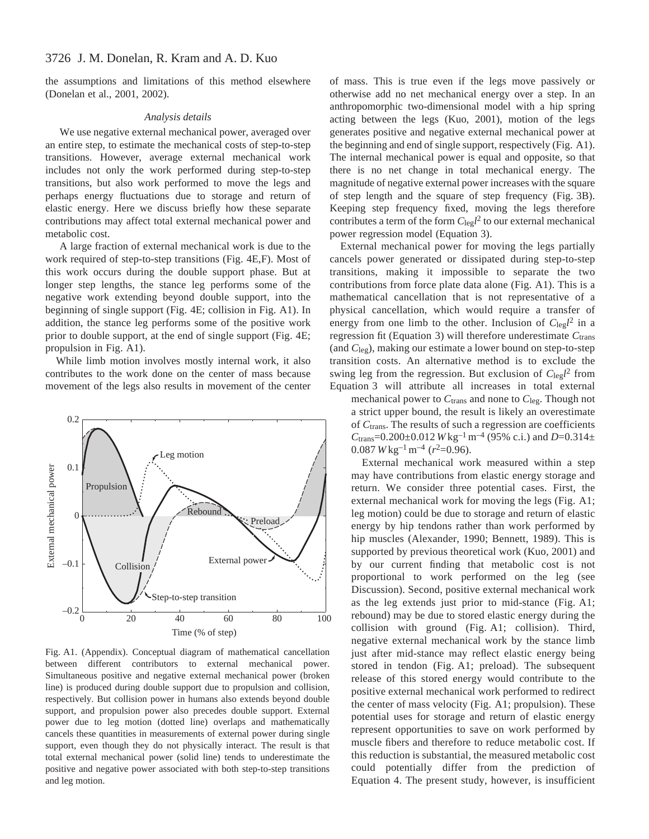the assumptions and limitations of this method elsewhere (Donelan et al., 2001, 2002).

## *Analysis details*

We use negative external mechanical power, averaged over an entire step, to estimate the mechanical costs of step-to-step transitions. However, average external mechanical work includes not only the work performed during step-to-step transitions, but also work performed to move the legs and perhaps energy fluctuations due to storage and return of elastic energy. Here we discuss briefly how these separate contributions may affect total external mechanical power and metabolic cost.

A large fraction of external mechanical work is due to the work required of step-to-step transitions (Fig. 4E,F). Most of this work occurs during the double support phase. But at longer step lengths, the stance leg performs some of the negative work extending beyond double support, into the beginning of single support (Fig. 4E; collision in Fig. A1). In addition, the stance leg performs some of the positive work prior to double support, at the end of single support (Fig. 4E; propulsion in Fig. A1).

While limb motion involves mostly internal work, it also contributes to the work done on the center of mass because movement of the legs also results in movement of the center



Fig. A1. (Appendix). Conceptual diagram of mathematical cancellation between different contributors to external mechanical power. Simultaneous positive and negative external mechanical power (broken line) is produced during double support due to propulsion and collision, respectively. But collision power in humans also extends beyond double support, and propulsion power also precedes double support. External power due to leg motion (dotted line) overlaps and mathematically cancels these quantities in measurements of external power during single support, even though they do not physically interact. The result is that total external mechanical power (solid line) tends to underestimate the positive and negative power associated with both step-to-step transitions and leg motion.

of mass. This is true even if the legs move passively or otherwise add no net mechanical energy over a step. In an anthropomorphic two-dimensional model with a hip spring acting between the legs (Kuo, 2001), motion of the legs generates positive and negative external mechanical power at the beginning and end of single support, respectively (Fig. A1). The internal mechanical power is equal and opposite, so that there is no net change in total mechanical energy. The magnitude of negative external power increases with the square of step length and the square of step frequency (Fig. 3B). Keeping step frequency fixed, moving the legs therefore contributes a term of the form  $C_{\text{leg}}l^2$  to our external mechanical power regression model (Equation 3).

External mechanical power for moving the legs partially cancels power generated or dissipated during step-to-step transitions, making it impossible to separate the two contributions from force plate data alone (Fig. A1). This is a mathematical cancellation that is not representative of a physical cancellation, which would require a transfer of energy from one limb to the other. Inclusion of  $C_{\text{leg}}l^2$  in a regression fit (Equation 3) will therefore underestimate *C*trans (and *C*leg), making our estimate a lower bound on step-to-step transition costs. An alternative method is to exclude the swing leg from the regression. But exclusion of *C*leg*l* <sup>2</sup> from Equation 3 will attribute all increases in total external

mechanical power to *C*trans and none to *C*leg. Though not a strict upper bound, the result is likely an overestimate of *C*trans. The results of such a regression are coefficients  $C_{trans}$ =0.200±0.012 *W* kg<sup>-1</sup> m<sup>-4</sup> (95% c.i.) and *D*=0.314±  $0.087 W \text{kg}^{-1} \text{m}^{-4}$  ( $r^2 = 0.96$ ).

External mechanical work measured within a step may have contributions from elastic energy storage and return. We consider three potential cases. First, the external mechanical work for moving the legs (Fig. A1; leg motion) could be due to storage and return of elastic energy by hip tendons rather than work performed by hip muscles (Alexander, 1990; Bennett, 1989). This is supported by previous theoretical work (Kuo, 2001) and by our current finding that metabolic cost is not proportional to work performed on the leg (see Discussion). Second, positive external mechanical work as the leg extends just prior to mid-stance (Fig. A1; rebound) may be due to stored elastic energy during the collision with ground (Fig. A1; collision). Third, negative external mechanical work by the stance limb just after mid-stance may reflect elastic energy being stored in tendon (Fig. A1; preload). The subsequent release of this stored energy would contribute to the positive external mechanical work performed to redirect the center of mass velocity (Fig. A1; propulsion). These potential uses for storage and return of elastic energy represent opportunities to save on work performed by muscle fibers and therefore to reduce metabolic cost. If this reduction is substantial, the measured metabolic cost could potentially differ from the prediction of Equation 4. The present study, however, is insufficient